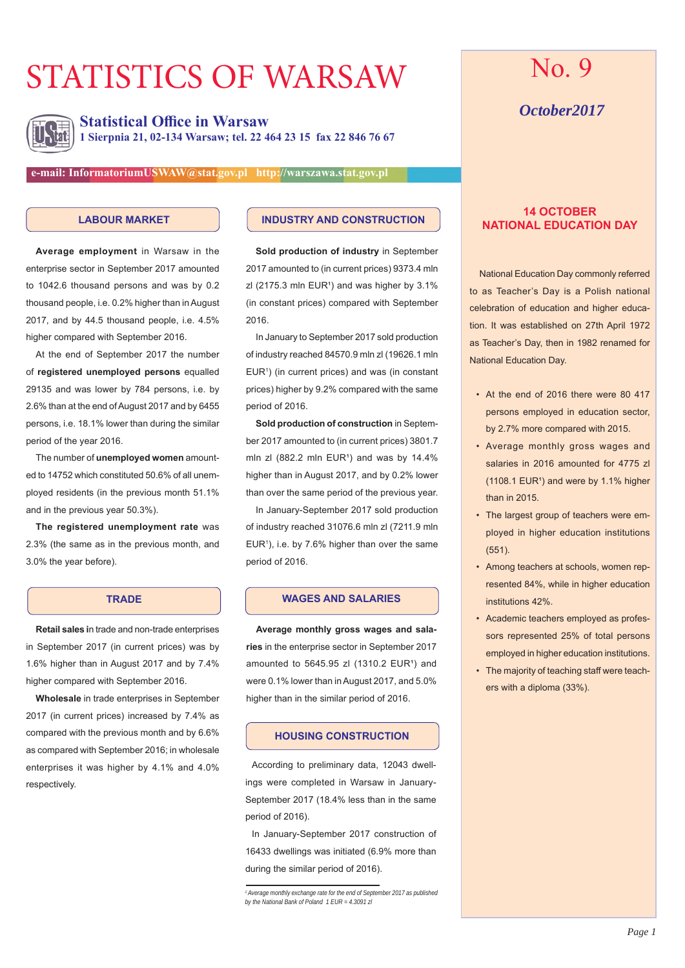# STATISTICS OF WARSAW



**Statistical Office in Warsaw 1 Sierpnia 21, 02-134 Warsaw; tel. 22 464 23 15 fax 22 846 76 67**

**e-mail: InformatoriumUSWAW@stat.gov.pl http://warszawa.stat.gov.pl**

#### **LABOUR MARKET**

**Average employment** in Warsaw in the enterprise sector in September 2017 amounted to 1042.6 thousand persons and was by 0.2 thousand people, i.e. 0.2% higher than in August 2017, and by 44.5 thousand people, i.e. 4.5% higher compared with September 2016.

At the end of September 2017 the number of **registered unemployed persons** equalled 29135 and was lower by 784 persons, i.e. by 2.6% than at the end of August 2017 and by 6455 persons, i.e. 18.1% lower than during the similar period of the year 2016.

The number of **unemployed women** amounted to 14752 which constituted 50.6% of all unemployed residents (in the previous month 51.1% and in the previous year 50.3%).

**The registered unemployment rate** was 2.3% (the same as in the previous month, and 3.0% the year before).

### **TRADE**

**Retail sales i**n trade and non-trade enterprises in September 2017 (in current prices) was by 1.6% higher than in August 2017 and by 7.4% higher compared with September 2016.

**Wholesale** in trade enterprises in September 2017 (in current prices) increased by 7.4% as compared with the previous month and by 6.6% as compared with September 2016; in wholesale enterprises it was higher by 4.1% and 4.0% respectively.

### **INDUSTRY AND CONSTRUCTION**

**Sold production of industry** in September 2017 amounted to (in current prices) 9373.4 mln  $z$ l (2175.3 mln EUR<sup>1</sup>) and was higher by 3.1% (in constant prices) compared with September 2016.

In January to September 2017 sold production of industry reached 84570.9 mln zl (19626.1 mln  $EUR<sup>1</sup>$ ) (in current prices) and was (in constant prices) higher by 9.2% compared with the same period of 2016.

**Sold production of construction** in September 2017 amounted to (in current prices) 3801.7 mln zl  $(882.2 \text{ min}$  EUR<sup>1</sup>) and was by  $14.4\%$ higher than in August 2017, and by 0.2% lower than over the same period of the previous year.

In January-September 2017 sold production of industry reached 31076.6 mln zl (7211.9 mln  $EUR<sup>1</sup>$ ), i.e. by 7.6% higher than over the same period of 2016.

### **WAGES AND SALARIES**

**Average monthly gross wages and salaries** in the enterprise sector in September 2017 amounted to  $5645.95$  zl  $(1310.2$  EUR<sup>1</sup>) and were 0.1% lower than in August 2017, and 5.0% higher than in the similar period of 2016.

### **HOUSING CONSTRUCTION**

According to preliminary data, 12043 dwellings were completed in Warsaw in January-September 2017 (18.4% less than in the same period of 2016).

In January-September 2017 construction of 16433 dwellings was initiated (6.9% more than during the similar period of 2016).

# No. 9

## *October2017*

### **14 OCTOBER NATIONAL EDUCATION DAY**

National Education Day commonly referred to as Teacher's Day is a Polish national celebration of education and higher education. It was established on 27th April 1972 as Teacher's Day, then in 1982 renamed for National Education Day.

- At the end of 2016 there were 80 417 persons employed in education sector, by 2.7% more compared with 2015.
- Average monthly gross wages and salaries in 2016 amounted for 4775 zl  $(1108.1$  EUR<sup>1</sup>) and were by 1.1% higher than in 2015.
- The largest group of teachers were employed in higher education institutions (551).
- Among teachers at schools, women represented 84%, while in higher education institutions 42%.
- Academic teachers employed as professors represented 25% of total persons employed in higher education institutions.
- The majority of teaching staff were teachers with a diploma (33%).

<sup>&</sup>lt;sup>1</sup> Average monthly exchange rate for the end of September 2017 as published *by the National Bank of Poland 1 EUR = 4.3091 zl*